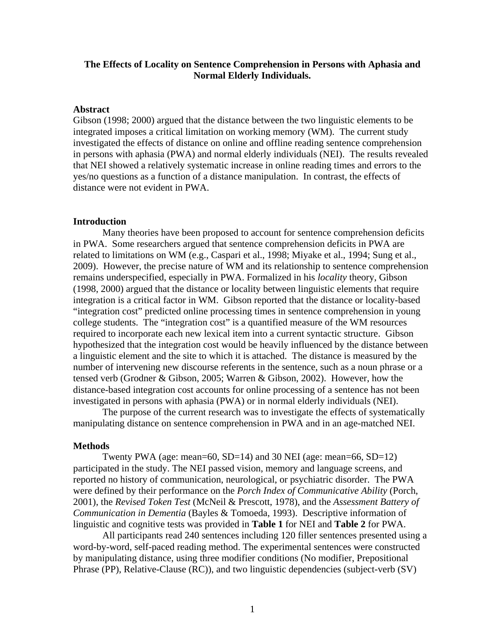# **The Effects of Locality on Sentence Comprehension in Persons with Aphasia and Normal Elderly Individuals.**

### **Abstract**

Gibson (1998; 2000) argued that the distance between the two linguistic elements to be integrated imposes a critical limitation on working memory (WM). The current study investigated the effects of distance on online and offline reading sentence comprehension in persons with aphasia (PWA) and normal elderly individuals (NEI). The results revealed that NEI showed a relatively systematic increase in online reading times and errors to the yes/no questions as a function of a distance manipulation. In contrast, the effects of distance were not evident in PWA.

#### **Introduction**

Many theories have been proposed to account for sentence comprehension deficits in PWA. Some researchers argued that sentence comprehension deficits in PWA are related to limitations on WM (e.g., Caspari et al., 1998; Miyake et al., 1994; Sung et al., 2009). However, the precise nature of WM and its relationship to sentence comprehension remains underspecified, especially in PWA. Formalized in his *locality* theory, Gibson (1998, 2000) argued that the distance or locality between linguistic elements that require integration is a critical factor in WM. Gibson reported that the distance or locality-based "integration cost" predicted online processing times in sentence comprehension in young college students. The "integration cost" is a quantified measure of the WM resources required to incorporate each new lexical item into a current syntactic structure. Gibson hypothesized that the integration cost would be heavily influenced by the distance between a linguistic element and the site to which it is attached. The distance is measured by the number of intervening new discourse referents in the sentence, such as a noun phrase or a tensed verb (Grodner & Gibson, 2005; Warren & Gibson, 2002). However, how the distance-based integration cost accounts for online processing of a sentence has not been investigated in persons with aphasia (PWA) or in normal elderly individuals (NEI).

The purpose of the current research was to investigate the effects of systematically manipulating distance on sentence comprehension in PWA and in an age-matched NEI.

#### **Methods**

Twenty PWA (age: mean=60, SD=14) and 30 NEI (age: mean=66, SD=12) participated in the study. The NEI passed vision, memory and language screens, and reported no history of communication, neurological, or psychiatric disorder. The PWA were defined by their performance on the *Porch Index of Communicative Ability* (Porch, 2001), the *Revised Token Test* (McNeil & Prescott, 1978), and the *Assessment Battery of Communication in Dementia* (Bayles & Tomoeda, 1993). Descriptive information of linguistic and cognitive tests was provided in **Table 1** for NEI and **Table 2** for PWA.

All participants read 240 sentences including 120 filler sentences presented using a word-by-word, self-paced reading method. The experimental sentences were constructed by manipulating distance, using three modifier conditions (No modifier, Prepositional Phrase (PP), Relative-Clause (RC)), and two linguistic dependencies (subject-verb (SV)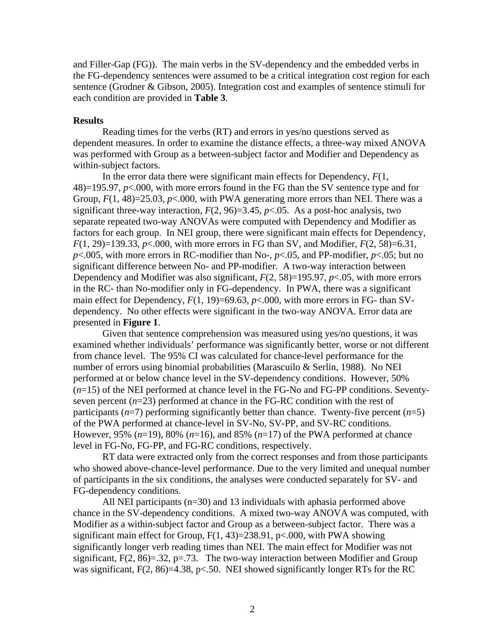and Filler-Gap (FG)). The main verbs in the SV-dependency and the embedded verbs in the FG-dependency sentences were assumed to be a critical integration cost region for each sentence (Grodner & Gibson, 2005). Integration cost and examples of sentence stimuli for each condition are provided in **Table 3**.

## **Results**

 Reading times for the verbs (RT) and errors in yes/no questions served as dependent measures. In order to examine the distance effects, a three-way mixed ANOVA was performed with Group as a between-subject factor and Modifier and Dependency as within-subject factors.

 In the error data there were significant main effects for Dependency, *F*(1, 48)=195.97, *p*<.000, with more errors found in the FG than the SV sentence type and for Group,  $F(1, 48)=25.03$ ,  $p<.000$ , with PWA generating more errors than NEI. There was a significant three-way interaction,  $F(2, 96)=3.45$ ,  $p<0.05$ . As a post-hoc analysis, two separate repeated two-way ANOVAs were computed with Dependency and Modifier as factors for each group. In NEI group, there were significant main effects for Dependency, *F*(1, 29)=139.33, *p*<.000, with more errors in FG than SV, and Modifier, *F*(2, 58)=6.31, *p*<.005, with more errors in RC-modifier than No-, *p*<.05, and PP-modifier, *p*<.05; but no significant difference between No- and PP-modifier. A two-way interaction between Dependency and Modifier was also significant, *F*(2, 58)=195.97, *p*<.05, with more errors in the RC- than No-modifier only in FG-dependency. In PWA, there was a significant main effect for Dependency,  $F(1, 19) = 69.63$ ,  $p < .000$ , with more errors in FG- than SVdependency. No other effects were significant in the two-way ANOVA. Error data are presented in **Figure 1**.

Given that sentence comprehension was measured using yes/no questions, it was examined whether individuals' performance was significantly better, worse or not different from chance level. The 95% CI was calculated for chance-level performance for the number of errors using binomial probabilities (Marascuilo & Serlin, 1988). No NEI performed at or below chance level in the SV-dependency conditions. However, 50% (*n*=15) of the NEI performed at chance level in the FG-No and FG-PP conditions. Seventyseven percent (*n*=23) performed at chance in the FG-RC condition with the rest of participants  $(n=7)$  performing significantly better than chance. Twenty-five percent  $(n=5)$ of the PWA performed at chance-level in SV-No, SV-PP, and SV-RC conditions. However, 95%  $(n=19)$ , 80%  $(n=16)$ , and 85%  $(n=17)$  of the PWA performed at chance level in FG-No, FG-PP, and FG-RC conditions, respectively.

 RT data were extracted only from the correct responses and from those participants who showed above-chance-level performance. Due to the very limited and unequal number of participants in the six conditions, the analyses were conducted separately for SV- and FG-dependency conditions.

All NEI participants (n=30) and 13 individuals with aphasia performed above chance in the SV-dependency conditions. A mixed two-way ANOVA was computed, with Modifier as a within-subject factor and Group as a between-subject factor. There was a significant main effect for Group,  $F(1, 43)=238.91$ ,  $p<.000$ , with PWA showing significantly longer verb reading times than NEI. The main effect for Modifier was not significant,  $F(2, 86)=32$ ,  $p=.73$ . The two-way interaction between Modifier and Group was significant,  $F(2, 86)=4.38$ ,  $p<.50$ . NEI showed significantly longer RTs for the RC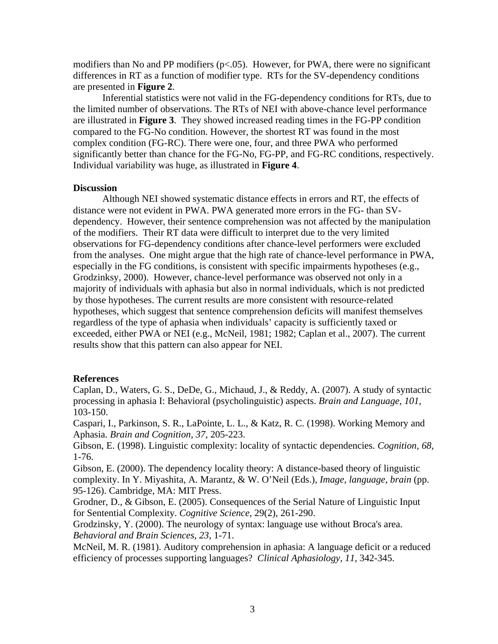modifiers than No and PP modifiers ( $p<.05$ ). However, for PWA, there were no significant differences in RT as a function of modifier type. RTs for the SV-dependency conditions are presented in **Figure 2**.

Inferential statistics were not valid in the FG-dependency conditions for RTs, due to the limited number of observations. The RTs of NEI with above-chance level performance are illustrated in **Figure 3**. They showed increased reading times in the FG-PP condition compared to the FG-No condition. However, the shortest RT was found in the most complex condition (FG-RC). There were one, four, and three PWA who performed significantly better than chance for the FG-No, FG-PP, and FG-RC conditions, respectively. Individual variability was huge, as illustrated in **Figure 4**.

# **Discussion**

 Although NEI showed systematic distance effects in errors and RT, the effects of distance were not evident in PWA. PWA generated more errors in the FG- than SVdependency. However, their sentence comprehension was not affected by the manipulation of the modifiers. Their RT data were difficult to interpret due to the very limited observations for FG-dependency conditions after chance-level performers were excluded from the analyses. One might argue that the high rate of chance-level performance in PWA, especially in the FG conditions, is consistent with specific impairments hypotheses (e.g., Grodzinksy, 2000). However, chance-level performance was observed not only in a majority of individuals with aphasia but also in normal individuals, which is not predicted by those hypotheses. The current results are more consistent with resource-related hypotheses, which suggest that sentence comprehension deficits will manifest themselves regardless of the type of aphasia when individuals' capacity is sufficiently taxed or exceeded, either PWA or NEI (e.g., McNeil, 1981; 1982; Caplan et al., 2007). The current results show that this pattern can also appear for NEI.

## **References**

Caplan, D., Waters, G. S., DeDe, G., Michaud, J., & Reddy, A. (2007). A study of syntactic processing in aphasia I: Behavioral (psycholinguistic) aspects. *Brain and Language, 101,* 103-150.

Caspari, I., Parkinson, S. R., LaPointe, L. L., & Katz, R. C. (1998). Working Memory and Aphasia. *Brain and Cognition, 37,* 205-223.

Gibson, E. (1998). Linguistic complexity: locality of syntactic dependencies. *Cognition, 68,* 1-76.

Gibson, E. (2000). The dependency locality theory: A distance-based theory of linguistic complexity. In Y. Miyashita, A. Marantz, & W. O'Neil (Eds.), *Image, language, brain* (pp. 95-126). Cambridge, MA: MIT Press.

Grodner, D., & Gibson, E. (2005). Consequences of the Serial Nature of Linguistic Input for Sentential Complexity. *Cognitive Science*, 29(2), 261-290.

Grodzinsky, Y. (2000). The neurology of syntax: language use without Broca's area. *Behavioral and Brain Sciences*, *23*, 1-71.

McNeil, M. R. (1981). Auditory comprehension in aphasia: A language deficit or a reduced efficiency of processes supporting languages? *Clinical Aphasiology, 11*, 342-345.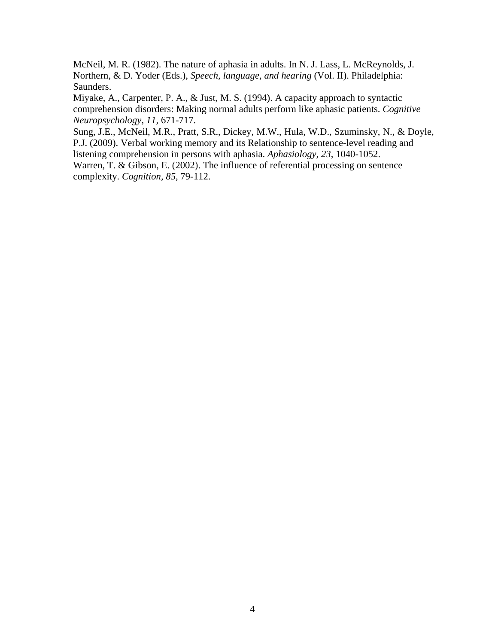McNeil, M. R. (1982). The nature of aphasia in adults. In N. J. Lass, L. McReynolds, J. Northern, & D. Yoder (Eds.), *Speech, language, and hearing* (Vol. II). Philadelphia: Saunders.

Miyake, A., Carpenter, P. A., & Just, M. S. (1994). A capacity approach to syntactic comprehension disorders: Making normal adults perform like aphasic patients. *Cognitive Neuropsychology, 11,* 671-717.

Sung, J.E., McNeil, M.R., Pratt, S.R., Dickey, M.W., Hula, W.D., Szuminsky, N., & Doyle, P.J. (2009). Verbal working memory and its Relationship to sentence-level reading and listening comprehension in persons with aphasia. *Aphasiology, 23*, 1040-1052.

Warren, T. & Gibson, E. (2002). The influence of referential processing on sentence complexity. *Cognition, 85,* 79-112.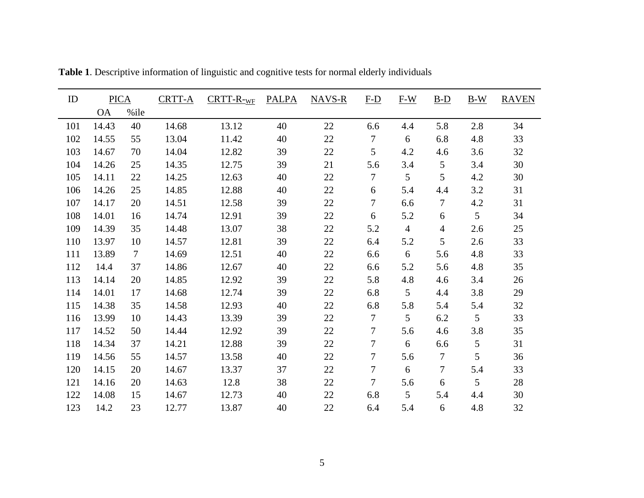| ID  | <b>PICA</b> |        | CRTT-A | $CRTT-R-WF$ | <b>PALPA</b> | $NAVS-R$ | $F-D$          | $F-W$          | $B-D$           | $B-W$ | <b>RAVEN</b> |
|-----|-------------|--------|--------|-------------|--------------|----------|----------------|----------------|-----------------|-------|--------------|
|     | <b>OA</b>   | %ile   |        |             |              |          |                |                |                 |       |              |
| 101 | 14.43       | 40     | 14.68  | 13.12       | 40           | 22       | 6.6            | 4.4            | 5.8             | 2.8   | 34           |
| 102 | 14.55       | 55     | 13.04  | 11.42       | 40           | 22       | 7              | 6              | 6.8             | 4.8   | 33           |
| 103 | 14.67       | 70     | 14.04  | 12.82       | 39           | 22       | 5              | 4.2            | 4.6             | 3.6   | 32           |
| 104 | 14.26       | 25     | 14.35  | 12.75       | 39           | 21       | 5.6            | 3.4            | $5\overline{)}$ | 3.4   | 30           |
| 105 | 14.11       | 22     | 14.25  | 12.63       | 40           | 22       | $\overline{7}$ | 5              | 5               | 4.2   | 30           |
| 106 | 14.26       | 25     | 14.85  | 12.88       | 40           | 22       | 6              | 5.4            | 4.4             | 3.2   | 31           |
| 107 | 14.17       | 20     | 14.51  | 12.58       | 39           | 22       | 7              | 6.6            | $\overline{7}$  | 4.2   | 31           |
| 108 | 14.01       | 16     | 14.74  | 12.91       | 39           | 22       | 6              | 5.2            | 6               | 5     | 34           |
| 109 | 14.39       | 35     | 14.48  | 13.07       | 38           | 22       | 5.2            | $\overline{4}$ | $\overline{4}$  | 2.6   | 25           |
| 110 | 13.97       | 10     | 14.57  | 12.81       | 39           | 22       | 6.4            | 5.2            | 5               | 2.6   | 33           |
| 111 | 13.89       | $\tau$ | 14.69  | 12.51       | 40           | 22       | 6.6            | 6              | 5.6             | 4.8   | 33           |
| 112 | 14.4        | 37     | 14.86  | 12.67       | 40           | 22       | 6.6            | 5.2            | 5.6             | 4.8   | 35           |
| 113 | 14.14       | 20     | 14.85  | 12.92       | 39           | 22       | 5.8            | 4.8            | 4.6             | 3.4   | 26           |
| 114 | 14.01       | 17     | 14.68  | 12.74       | 39           | 22       | 6.8            | 5              | 4.4             | 3.8   | 29           |
| 115 | 14.38       | 35     | 14.58  | 12.93       | 40           | 22       | 6.8            | 5.8            | 5.4             | 5.4   | 32           |
| 116 | 13.99       | 10     | 14.43  | 13.39       | 39           | 22       | $\overline{7}$ | 5              | 6.2             | 5     | 33           |
| 117 | 14.52       | 50     | 14.44  | 12.92       | 39           | 22       | $\overline{7}$ | 5.6            | 4.6             | 3.8   | 35           |
| 118 | 14.34       | 37     | 14.21  | 12.88       | 39           | 22       | $\tau$         | $6\,$          | 6.6             | 5     | 31           |
| 119 | 14.56       | 55     | 14.57  | 13.58       | 40           | 22       | 7              | 5.6            | $\tau$          | 5     | 36           |
| 120 | 14.15       | 20     | 14.67  | 13.37       | 37           | 22       | 7              | $6\,$          | 7               | 5.4   | 33           |
| 121 | 14.16       | 20     | 14.63  | 12.8        | 38           | 22       | $\overline{7}$ | 5.6            | 6               | 5     | 28           |
| 122 | 14.08       | 15     | 14.67  | 12.73       | 40           | 22       | 6.8            | 5              | 5.4             | 4.4   | 30           |
| 123 | 14.2        | 23     | 12.77  | 13.87       | 40           | 22       | 6.4            | 5.4            | 6               | 4.8   | 32           |

**Table 1**. Descriptive information of linguistic and cognitive tests for normal elderly individuals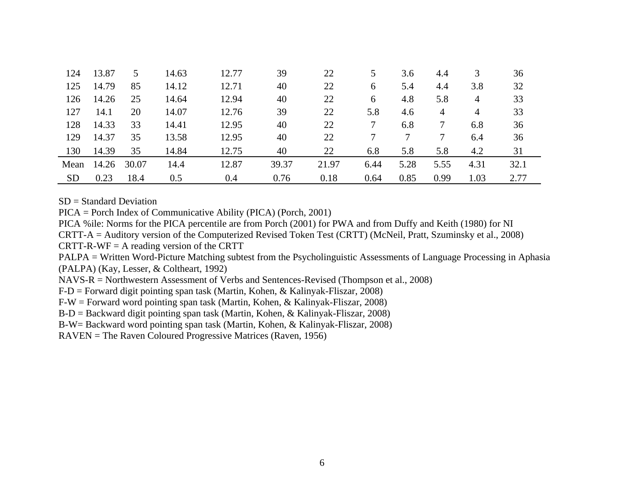| 124       | 13.87 | 5     | 14.63 | 12.77 | 39    | 22    | 5.   | 3.6  | 4.4  | 3              | 36   |  |
|-----------|-------|-------|-------|-------|-------|-------|------|------|------|----------------|------|--|
| 125       | 14.79 | 85    | 14.12 | 12.71 | 40    | 22    | 6    | 5.4  | 4.4  | 3.8            | 32   |  |
| 126       | 14.26 | 25    | 14.64 | 12.94 | 40    | 22    | 6    | 4.8  | 5.8  | 4              | 33   |  |
| 127       | 14.1  | 20    | 14.07 | 12.76 | 39    | 22    | 5.8  | 4.6  | 4    | $\overline{4}$ | 33   |  |
| 128       | 14.33 | 33    | 14.41 | 12.95 | 40    | 22    | 7    | 6.8  | 7    | 6.8            | 36   |  |
| 129       | 14.37 | 35    | 13.58 | 12.95 | 40    | 22    |      |      | 7    | 6.4            | 36   |  |
| 130       | 14.39 | 35    | 14.84 | 12.75 | 40    | 22    | 6.8  | 5.8  | 5.8  | 4.2            | 31   |  |
| Mean      | 14.26 | 30.07 | 14.4  | 12.87 | 39.37 | 21.97 | 6.44 | 5.28 | 5.55 | 4.31           | 32.1 |  |
| <b>SD</b> | 0.23  | 18.4  | 0.5   | 0.4   | 0.76  | 0.18  | 0.64 | 0.85 | 0.99 | 1.03           | 2.77 |  |

 $SD = Standard Deviation$ 

PICA = Porch Index of Communicative Ability (PICA) (Porch, 2001)

PICA %ile: Norms for the PICA percentile are from Porch (2001) for PWA and from Duffy and Keith (1980) for NI

CRTT-A = Auditory version of the Computerized Revised Token Test (CRTT) (McNeil, Pratt, Szuminsky et al., 2008)

 $CRTT-R-WF = A$  reading version of the CRTT

PALPA = Written Word-Picture Matching subtest from the Psycholinguistic Assessments of Language Processing in Aphasia (PALPA) (Kay, Lesser, & Coltheart, 1992)

NAVS-R = Northwestern Assessment of Verbs and Sentences-Revised (Thompson et al., 2008)

F-D = Forward digit pointing span task (Martin, Kohen, & Kalinyak-Fliszar, 2008)

F-W = Forward word pointing span task (Martin, Kohen, & Kalinyak-Fliszar, 2008)

B-D = Backward digit pointing span task (Martin, Kohen, & Kalinyak-Fliszar, 2008)

B-W= Backward word pointing span task (Martin, Kohen, & Kalinyak-Fliszar, 2008)

RAVEN = The Raven Coloured Progressive Matrices (Raven, 1956)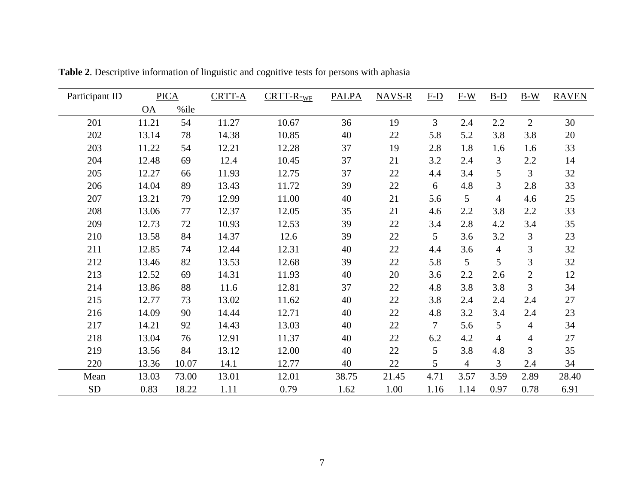| Participant ID<br><b>PICA</b> |           |       | <b>CRTT-A</b> | $CRTT-R-WF$ | <b>PALPA</b> | <b>NAVS-R</b> | $F-D$  | $F-W$           | $B-D$          | $B-W$          | <b>RAVEN</b> |
|-------------------------------|-----------|-------|---------------|-------------|--------------|---------------|--------|-----------------|----------------|----------------|--------------|
|                               | <b>OA</b> | %ile  |               |             |              |               |        |                 |                |                |              |
| 201                           | 11.21     | 54    | 11.27         | 10.67       | 36           | 19            | 3      | 2.4             | 2.2            | $\overline{2}$ | 30           |
| 202                           | 13.14     | 78    | 14.38         | 10.85       | 40           | 22            | 5.8    | 5.2             | 3.8            | 3.8            | 20           |
| 203                           | 11.22     | 54    | 12.21         | 12.28       | 37           | 19            | 2.8    | 1.8             | 1.6            | 1.6            | 33           |
| 204                           | 12.48     | 69    | 12.4          | 10.45       | 37           | 21            | 3.2    | 2.4             | 3              | 2.2            | 14           |
| 205                           | 12.27     | 66    | 11.93         | 12.75       | 37           | 22            | 4.4    | 3.4             | 5              | 3              | 32           |
| 206                           | 14.04     | 89    | 13.43         | 11.72       | 39           | 22            | 6      | 4.8             | 3              | 2.8            | 33           |
| 207                           | 13.21     | 79    | 12.99         | 11.00       | 40           | 21            | 5.6    | $5\overline{)}$ | $\overline{4}$ | 4.6            | 25           |
| 208                           | 13.06     | 77    | 12.37         | 12.05       | 35           | 21            | 4.6    | 2.2             | 3.8            | 2.2            | 33           |
| 209                           | 12.73     | 72    | 10.93         | 12.53       | 39           | 22            | 3.4    | 2.8             | 4.2            | 3.4            | 35           |
| 210                           | 13.58     | 84    | 14.37         | 12.6        | 39           | 22            | 5      | 3.6             | 3.2            | 3              | 23           |
| 211                           | 12.85     | 74    | 12.44         | 12.31       | 40           | 22            | 4.4    | 3.6             | $\overline{4}$ | 3              | 32           |
| 212                           | 13.46     | 82    | 13.53         | 12.68       | 39           | 22            | 5.8    | 5               | 5              | 3              | 32           |
| 213                           | 12.52     | 69    | 14.31         | 11.93       | 40           | 20            | 3.6    | 2.2             | 2.6            | $\overline{2}$ | 12           |
| 214                           | 13.86     | 88    | 11.6          | 12.81       | 37           | 22            | 4.8    | 3.8             | 3.8            | 3              | 34           |
| 215                           | 12.77     | 73    | 13.02         | 11.62       | 40           | 22            | 3.8    | 2.4             | 2.4            | 2.4            | 27           |
| 216                           | 14.09     | 90    | 14.44         | 12.71       | 40           | 22            | 4.8    | 3.2             | 3.4            | 2.4            | 23           |
| 217                           | 14.21     | 92    | 14.43         | 13.03       | 40           | 22            | $\tau$ | 5.6             | 5              | $\overline{4}$ | 34           |
| 218                           | 13.04     | 76    | 12.91         | 11.37       | 40           | 22            | 6.2    | 4.2             | $\overline{4}$ | 4              | 27           |
| 219                           | 13.56     | 84    | 13.12         | 12.00       | 40           | 22            | 5      | 3.8             | 4.8            | 3              | 35           |
| 220                           | 13.36     | 10.07 | 14.1          | 12.77       | 40           | 22            | 5      | $\overline{4}$  | 3              | 2.4            | 34           |
| Mean                          | 13.03     | 73.00 | 13.01         | 12.01       | 38.75        | 21.45         | 4.71   | 3.57            | 3.59           | 2.89           | 28.40        |
| <b>SD</b>                     | 0.83      | 18.22 | 1.11          | 0.79        | 1.62         | 1.00          | 1.16   | 1.14            | 0.97           | 0.78           | 6.91         |

**Table 2**. Descriptive information of linguistic and cognitive tests for persons with aphasia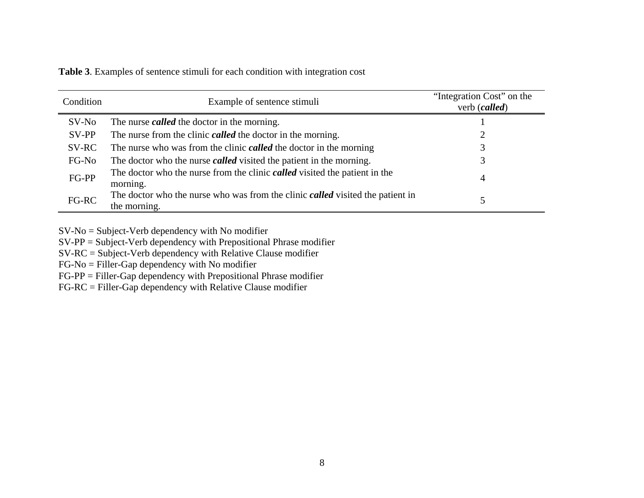| Condition | Example of sentence stimuli                                                                                  | "Integration Cost" on the<br>verb (called) |
|-----------|--------------------------------------------------------------------------------------------------------------|--------------------------------------------|
| $SV-No$   | The nurse <i>called</i> the doctor in the morning.                                                           |                                            |
| SV-PP     | The nurse from the clinic <i>called</i> the doctor in the morning.                                           |                                            |
| SV-RC     | The nurse who was from the clinic <b><i>called</i></b> the doctor in the morning                             |                                            |
| FG-No     | The doctor who the nurse <i>called</i> visited the patient in the morning.                                   | 3                                          |
| FG-PP     | The doctor who the nurse from the clinic <i>called</i> visited the patient in the<br>morning.                | 4                                          |
| FG-RC     | The doctor who the nurse who was from the clinic <b><i>called</i></b> visited the patient in<br>the morning. |                                            |

**Table 3**. Examples of sentence stimuli for each condition with integration cost

SV-No = Subject-Verb dependency with No modifier

SV-PP = Subject-Verb dependency with Prepositional Phrase modifier

SV-RC = Subject-Verb dependency with Relative Clause modifier

FG-No = Filler-Gap dependency with No modifier

FG-PP = Filler-Gap dependency with Prepositional Phrase modifier

FG-RC = Filler-Gap dependency with Relative Clause modifier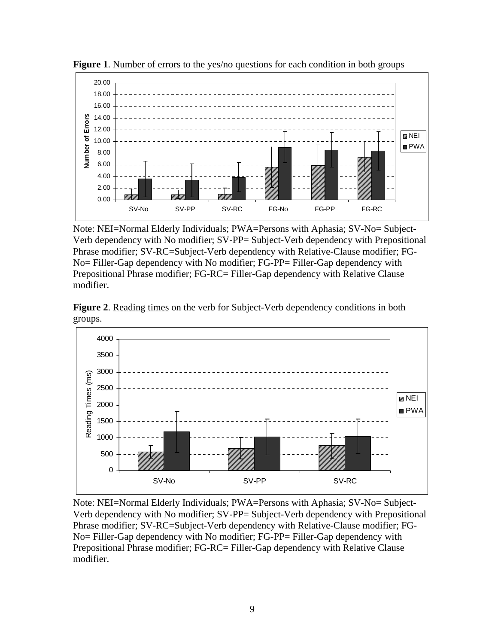

**Figure 1.** Number of errors to the yes/no questions for each condition in both groups

Note: NEI=Normal Elderly Individuals; PWA=Persons with Aphasia; SV-No= Subject-Verb dependency with No modifier; SV-PP= Subject-Verb dependency with Prepositional Phrase modifier; SV-RC=Subject-Verb dependency with Relative-Clause modifier; FG-No= Filler-Gap dependency with No modifier; FG-PP= Filler-Gap dependency with Prepositional Phrase modifier; FG-RC= Filler-Gap dependency with Relative Clause modifier.





Note: NEI=Normal Elderly Individuals; PWA=Persons with Aphasia; SV-No= Subject-Verb dependency with No modifier; SV-PP= Subject-Verb dependency with Prepositional Phrase modifier; SV-RC=Subject-Verb dependency with Relative-Clause modifier; FG-No= Filler-Gap dependency with No modifier; FG-PP= Filler-Gap dependency with Prepositional Phrase modifier; FG-RC= Filler-Gap dependency with Relative Clause modifier.